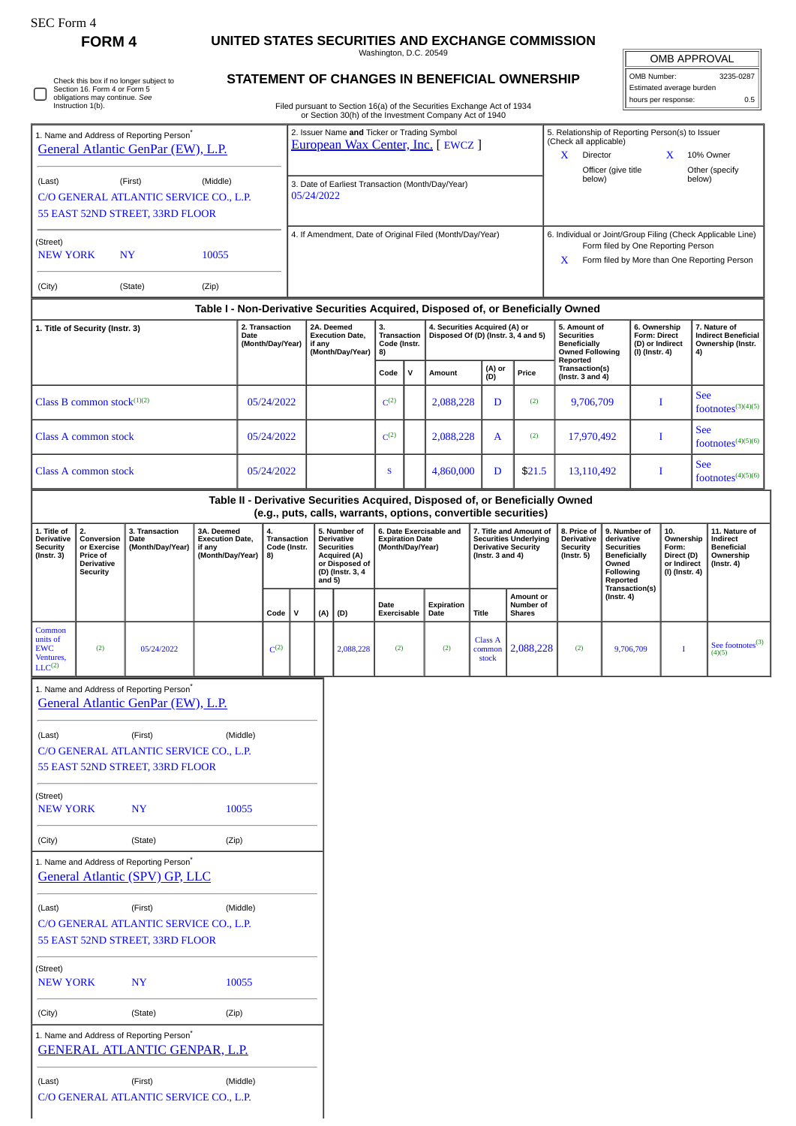| <b>OMB APPROVAL</b>      |           |
|--------------------------|-----------|
| OMB Number:              | 3235-0287 |
| Estimated average burden |           |

hours per response: 0.5

**6. Ownership Form: Direct (D) or Indirect (I) (Instr. 4)**

Other (specify<br>below)

**7. Nature of Indirect Beneficial Ownership (Instr. 4)**

See

See

See

**10. Ownership Form: Direct (D) or Indirect (I) (Instr. 4)**

 $footnotes^{(3)(4)(5)}$ 

 $footnotes<sup>(4)(5)(6)</sup>$ 

footnotes $(4)(5)(6)$ 

**11. Nature of Indirect Beneficial Ownership (Instr. 4)**

See footnotes<sup>(3)</sup>

**FORM 4 UNITED STATES SECURITIES AND EXCHANGE COMMISSION** Washington, D.C. 20549 **STATEMENT OF CHANGES IN BENEFICIAL OWNERSHIP** Check this box if no longer subject to Section 16. Form 4 or Form 5 obligations may continue. *See* Instruction 1(b). O Filed pursuant to Section 16(a) of the Securities Exchange Act of 1934 or Section 30(h) of the Investment Company Act of 1940 2. Issuer Name **and** Ticker or Trading Symbol 5. Relationship of Reporting Person(s) to Issuer 1. Name and Address of Reporting Person\* (Check all applicable) [European Wax Center, Inc.](http://www.sec.gov/cgi-bin/browse-edgar?action=getcompany&CIK=0001856236) [ EWCZ ] [General Atlantic GenPar \(EW\), L.P.](http://www.sec.gov/cgi-bin/browse-edgar?action=getcompany&CIK=0001872624) X Director X 10% Owner Officer (give title below) (Last) (First) (Middle) 3. Date of Earliest Transaction (Month/Day/Year) C/O GENERAL ATLANTIC SERVICE CO., L.P. 05/24/2022 55 EAST 52ND STREET, 33RD FLOOR 4. If Amendment, Date of Original Filed (Month/Day/Year) 6. Individual or Joint/Group Filing (Check Applicable Line) (Street) Form filed by One Reporting Person NEW YORK NY 10055 X Form filed by More than One Reporting Person (City) (State) (Zip) **Table I - Non-Derivative Securities Acquired, Disposed of, or Beneficially Owned 4. Securities Acquired (A) or 1. Title of Security (Instr. 3) 2. Transaction 2A. Deemed 5. Amount of 3. Transaction Execution Date, Disposed Of (D) (Instr. 3, 4 and 5) Securities Date (Month/Day/Year) Code (Instr. Beneficially if any (Month/Day/Year) 8) Owned Following Reported Code <sup>V</sup> Amount (A) or (D) Price Transaction(s) (Instr. 3 and 4)** Class B common stock<sup>(1)(2)</sup> 05/24/2022 Class B common stock<sup>(1)(2)</sup> (2) 2,088,228 D (2) 9,706,709 I Class A common stock  $0.5/24/2022$   $\Big\vert \qquad \Big\vert \qquad C^{(2)}$ (2) 2,088,228 A (2) 17,970,492 I Class A common stock 05/24/2022 S 4,860,000 D \$21.5 13,110,492 I **Table II - Derivative Securities Acquired, Disposed of, or Beneficially Owned (e.g., puts, calls, warrants, options, convertible securities) 1. Title of 3. Transaction 3A. Deemed 6. Date Exercisable and 7. Title and Amount of 8. Price of 9. Number of 2. Conversion 4. Transaction 5. Number of Derivative Securities Acquired (A) or Disposed of (D) (Instr. 3, 4 and 5) Execution Date, Derivative Security (Instr. 3) Date (Month/Day/Year) Expiration Date (Month/Day/Year) Securities Underlying Derivative Security (Instr. 3 and 4) Derivative Security (Instr. 5) derivative Securities Beneficially Code (Instr. or Exercise Price of Derivative if any (Month/Day/Year) 8) Owned Following Security Reported Transaction(s) (Instr. 4) Amount or Date Expiration Date Title Number of Shares Code V (A) (D) Exercisable** Common units of Class A EW<sub>C</sub> (2)  $0.5/24/2022$   $C^{(2)}$  $2,088,228$  (2) (2) (2) 2,088,228 (2) 9,706,709 I com stock Ventures,  $LLC<sup>(2)</sup>$ 1. Name and Address of Reporting Person\* [General Atlantic GenPar \(EW\), L.P.](http://www.sec.gov/cgi-bin/browse-edgar?action=getcompany&CIK=0001872624) (Last) (First) (Middle) C/O GENERAL ATLANTIC SERVICE CO., L.P. 55 EAST 52ND STREET, 33RD FLOOR (Street) NEW YORK NY 10055 (City) (State) (Zip) 1. Name and Address of Reporting Person<sup>\*</sup> [General Atlantic \(SPV\) GP, LLC](http://www.sec.gov/cgi-bin/browse-edgar?action=getcompany&CIK=0001793940) (Last) (First) (Middle) C/O GENERAL ATLANTIC SERVICE CO., L.P. 55 EAST 52ND STREET, 33RD FLOOR (Street) NEW YORK NY 10055 (City) (State) (Zip) 1. Name and Address of Reporting Person<sup>1</sup> [GENERAL ATLANTIC GENPAR, L.P.](http://www.sec.gov/cgi-bin/browse-edgar?action=getcompany&CIK=0001467926)

(Last) (First) (Middle) C/O GENERAL ATLANTIC SERVICE CO., L.P.